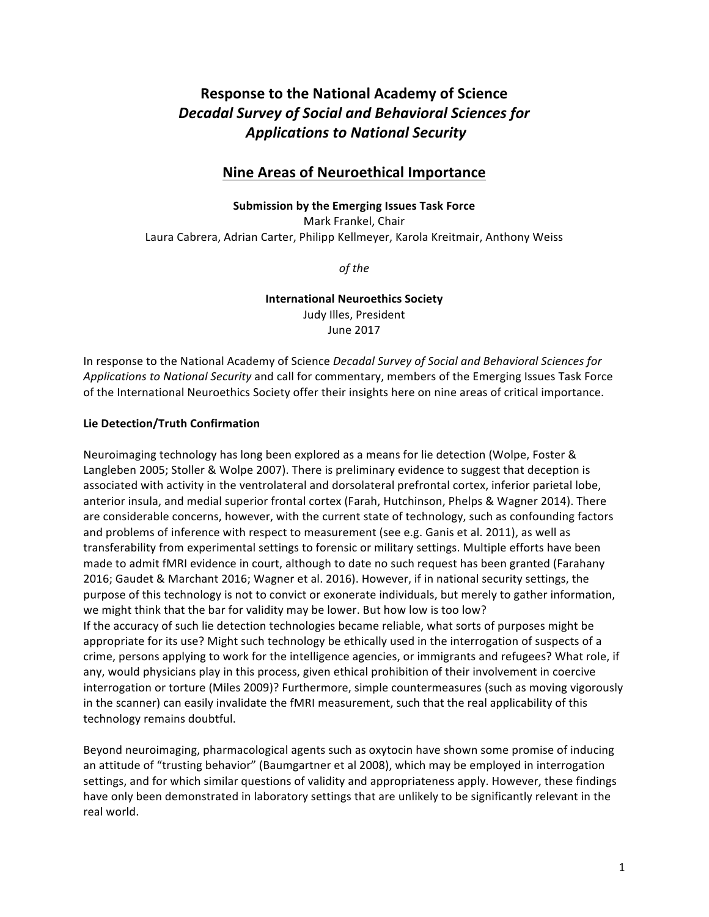# **Response to the National Academy of Science** *Decadal Survey of Social and Behavioral Sciences for Applications to National Security*

## **Nine Areas of Neuroethical Importance**

#### **Submission by the Emerging Issues Task Force**

Mark Frankel, Chair Laura Cabrera, Adrian Carter, Philipp Kellmeyer, Karola Kreitmair, Anthony Weiss

*of the* 

**International Neuroethics Society** Judy Illes, President June 2017

In response to the National Academy of Science *Decadal Survey of Social and Behavioral Sciences for* Applications to National Security and call for commentary, members of the Emerging Issues Task Force of the International Neuroethics Society offer their insights here on nine areas of critical importance.

### **Lie Detection/Truth Confirmation**

Neuroimaging technology has long been explored as a means for lie detection (Wolpe, Foster & Langleben 2005; Stoller & Wolpe 2007). There is preliminary evidence to suggest that deception is associated with activity in the ventrolateral and dorsolateral prefrontal cortex, inferior parietal lobe, anterior insula, and medial superior frontal cortex (Farah, Hutchinson, Phelps & Wagner 2014). There are considerable concerns, however, with the current state of technology, such as confounding factors and problems of inference with respect to measurement (see e.g. Ganis et al. 2011), as well as transferability from experimental settings to forensic or military settings. Multiple efforts have been made to admit fMRI evidence in court, although to date no such request has been granted (Farahany 2016; Gaudet & Marchant 2016; Wagner et al. 2016). However, if in national security settings, the purpose of this technology is not to convict or exonerate individuals, but merely to gather information, we might think that the bar for validity may be lower. But how low is too low? If the accuracy of such lie detection technologies became reliable, what sorts of purposes might be appropriate for its use? Might such technology be ethically used in the interrogation of suspects of a crime, persons applying to work for the intelligence agencies, or immigrants and refugees? What role, if any, would physicians play in this process, given ethical prohibition of their involvement in coercive interrogation or torture (Miles 2009)? Furthermore, simple countermeasures (such as moving vigorously in the scanner) can easily invalidate the fMRI measurement, such that the real applicability of this technology remains doubtful.

Beyond neuroimaging, pharmacological agents such as oxytocin have shown some promise of inducing an attitude of "trusting behavior" (Baumgartner et al 2008), which may be employed in interrogation settings, and for which similar questions of validity and appropriateness apply. However, these findings have only been demonstrated in laboratory settings that are unlikely to be significantly relevant in the real world.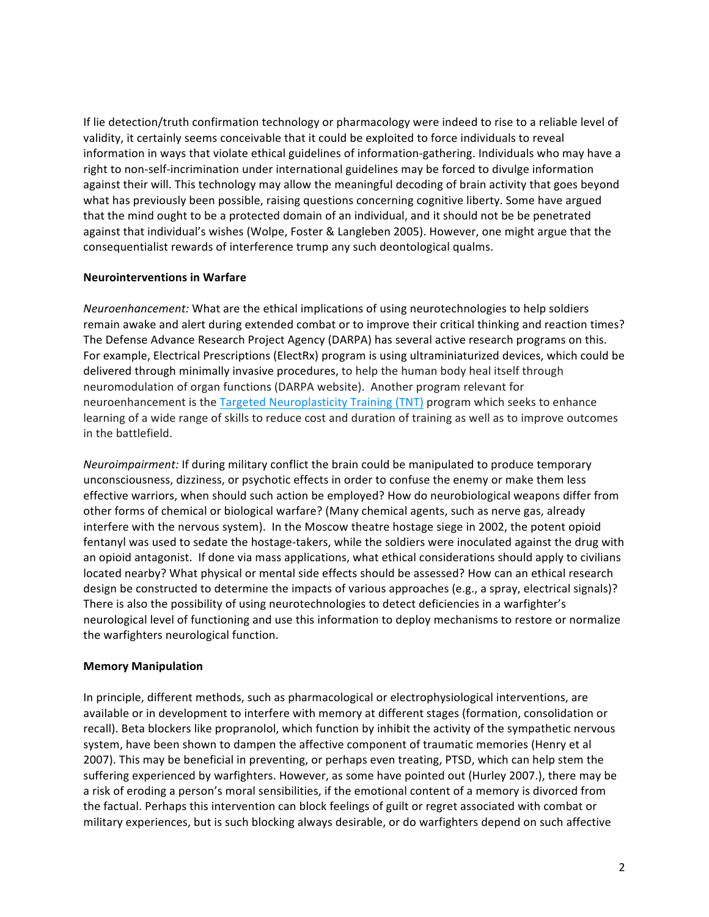If lie detection/truth confirmation technology or pharmacology were indeed to rise to a reliable level of validity, it certainly seems conceivable that it could be exploited to force individuals to reveal information in ways that violate ethical guidelines of information-gathering. Individuals who may have a right to non-self-incrimination under international guidelines may be forced to divulge information against their will. This technology may allow the meaningful decoding of brain activity that goes beyond what has previously been possible, raising questions concerning cognitive liberty. Some have argued that the mind ought to be a protected domain of an individual, and it should not be be penetrated against that individual's wishes (Wolpe, Foster & Langleben 2005). However, one might argue that the consequentialist rewards of interference trump any such deontological qualms.

#### **Neurointerventions in Warfare**

*Neuroenhancement:* What are the ethical implications of using neurotechnologies to help soldiers remain awake and alert during extended combat or to improve their critical thinking and reaction times? The Defense Advance Research Project Agency (DARPA) has several active research programs on this. For example, Electrical Prescriptions (ElectRx) program is using ultraminiaturized devices, which could be delivered through minimally invasive procedures, to help the human body heal itself through neuromodulation of organ functions (DARPA website). Another program relevant for neuroenhancement is the Targeted Neuroplasticity Training (TNT) program which seeks to enhance learning of a wide range of skills to reduce cost and duration of training as well as to improve outcomes in the battlefield.

*Neuroimpairment:* If during military conflict the brain could be manipulated to produce temporary unconsciousness, dizziness, or psychotic effects in order to confuse the enemy or make them less effective warriors, when should such action be employed? How do neurobiological weapons differ from other forms of chemical or biological warfare? (Many chemical agents, such as nerve gas, already interfere with the nervous system). In the Moscow theatre hostage siege in 2002, the potent opioid fentanyl was used to sedate the hostage-takers, while the soldiers were inoculated against the drug with an opioid antagonist. If done via mass applications, what ethical considerations should apply to civilians located nearby? What physical or mental side effects should be assessed? How can an ethical research design be constructed to determine the impacts of various approaches (e.g., a spray, electrical signals)? There is also the possibility of using neurotechnologies to detect deficiencies in a warfighter's neurological level of functioning and use this information to deploy mechanisms to restore or normalize the warfighters neurological function.

#### **Memory Manipulation**

In principle, different methods, such as pharmacological or electrophysiological interventions, are available or in development to interfere with memory at different stages (formation, consolidation or recall). Beta blockers like propranolol, which function by inhibit the activity of the sympathetic nervous system, have been shown to dampen the affective component of traumatic memories (Henry et al 2007). This may be beneficial in preventing, or perhaps even treating, PTSD, which can help stem the suffering experienced by warfighters. However, as some have pointed out (Hurley 2007.), there may be a risk of eroding a person's moral sensibilities, if the emotional content of a memory is divorced from the factual. Perhaps this intervention can block feelings of guilt or regret associated with combat or military experiences, but is such blocking always desirable, or do warfighters depend on such affective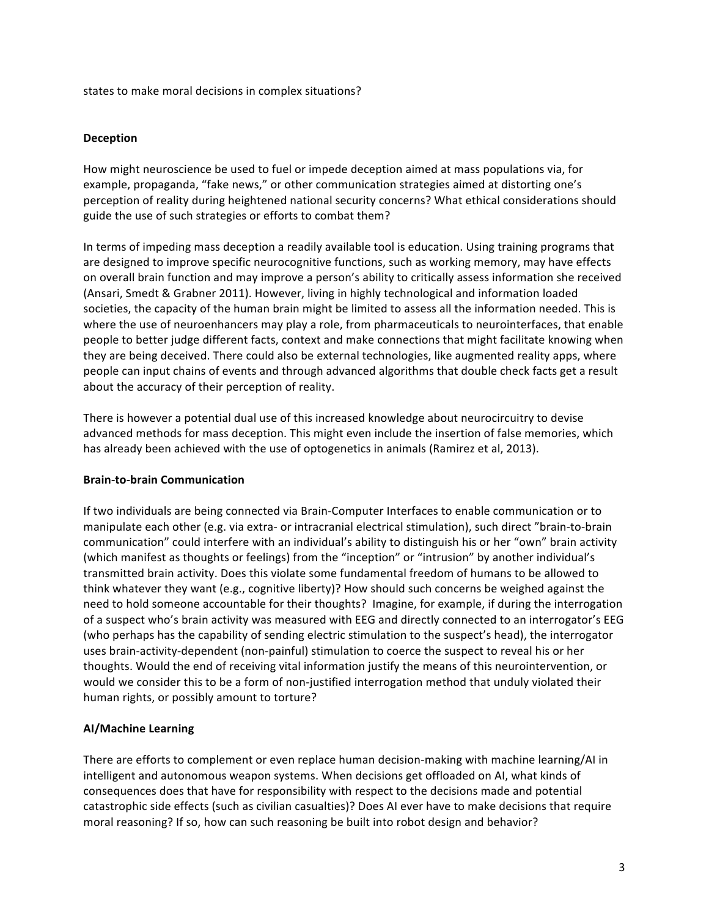states to make moral decisions in complex situations?

#### **Deception**

How might neuroscience be used to fuel or impede deception aimed at mass populations via, for example, propaganda, "fake news," or other communication strategies aimed at distorting one's perception of reality during heightened national security concerns? What ethical considerations should guide the use of such strategies or efforts to combat them?

In terms of impeding mass deception a readily available tool is education. Using training programs that are designed to improve specific neurocognitive functions, such as working memory, may have effects on overall brain function and may improve a person's ability to critically assess information she received (Ansari, Smedt & Grabner 2011). However, living in highly technological and information loaded societies, the capacity of the human brain might be limited to assess all the information needed. This is where the use of neuroenhancers may play a role, from pharmaceuticals to neurointerfaces, that enable people to better judge different facts, context and make connections that might facilitate knowing when they are being deceived. There could also be external technologies, like augmented reality apps, where people can input chains of events and through advanced algorithms that double check facts get a result about the accuracy of their perception of reality.

There is however a potential dual use of this increased knowledge about neurocircuitry to devise advanced methods for mass deception. This might even include the insertion of false memories, which has already been achieved with the use of optogenetics in animals (Ramirez et al, 2013).

#### **Brain-to-brain Communication**

If two individuals are being connected via Brain-Computer Interfaces to enable communication or to manipulate each other (e.g. via extra- or intracranial electrical stimulation), such direct "brain-to-brain communication" could interfere with an individual's ability to distinguish his or her "own" brain activity (which manifest as thoughts or feelings) from the "inception" or "intrusion" by another individual's transmitted brain activity. Does this violate some fundamental freedom of humans to be allowed to think whatever they want (e.g., cognitive liberty)? How should such concerns be weighed against the need to hold someone accountable for their thoughts? Imagine, for example, if during the interrogation of a suspect who's brain activity was measured with EEG and directly connected to an interrogator's EEG (who perhaps has the capability of sending electric stimulation to the suspect's head), the interrogator uses brain-activity-dependent (non-painful) stimulation to coerce the suspect to reveal his or her thoughts. Would the end of receiving vital information justify the means of this neurointervention, or would we consider this to be a form of non-justified interrogation method that unduly violated their human rights, or possibly amount to torture?

#### **AI/Machine Learning**

There are efforts to complement or even replace human decision-making with machine learning/AI in intelligent and autonomous weapon systems. When decisions get offloaded on AI, what kinds of consequences does that have for responsibility with respect to the decisions made and potential catastrophic side effects (such as civilian casualties)? Does AI ever have to make decisions that require moral reasoning? If so, how can such reasoning be built into robot design and behavior?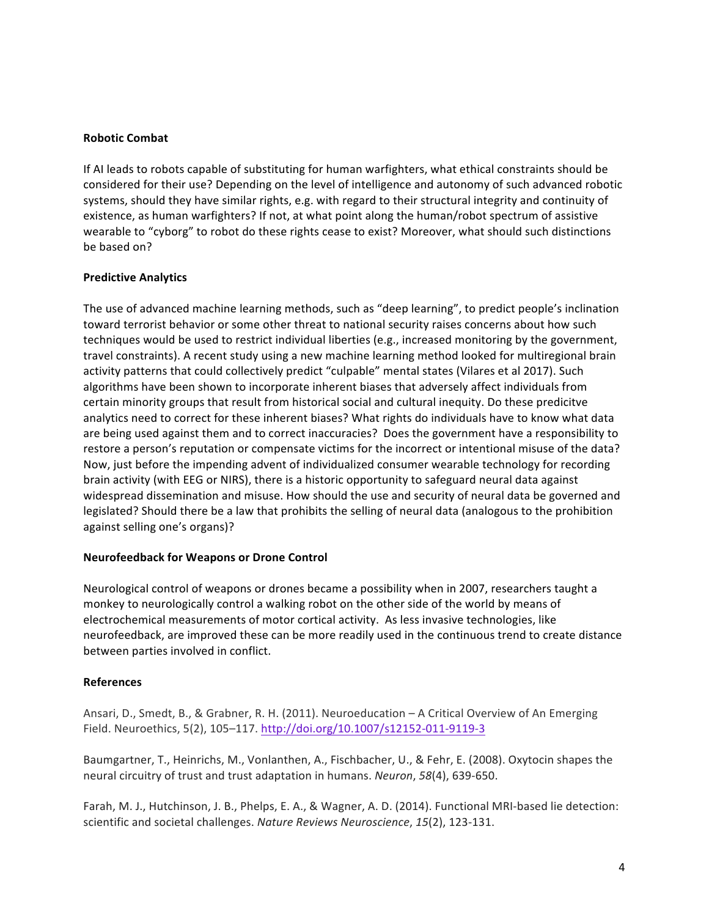#### **Robotic Combat**

If AI leads to robots capable of substituting for human warfighters, what ethical constraints should be considered for their use? Depending on the level of intelligence and autonomy of such advanced robotic systems, should they have similar rights, e.g. with regard to their structural integrity and continuity of existence, as human warfighters? If not, at what point along the human/robot spectrum of assistive wearable to "cyborg" to robot do these rights cease to exist? Moreover, what should such distinctions be based on?

#### **Predictive Analytics**

The use of advanced machine learning methods, such as "deep learning", to predict people's inclination toward terrorist behavior or some other threat to national security raises concerns about how such techniques would be used to restrict individual liberties (e.g., increased monitoring by the government, travel constraints). A recent study using a new machine learning method looked for multiregional brain activity patterns that could collectively predict "culpable" mental states (Vilares et al 2017). Such algorithms have been shown to incorporate inherent biases that adversely affect individuals from certain minority groups that result from historical social and cultural inequity. Do these predicitve analytics need to correct for these inherent biases? What rights do individuals have to know what data are being used against them and to correct inaccuracies? Does the government have a responsibility to restore a person's reputation or compensate victims for the incorrect or intentional misuse of the data? Now, just before the impending advent of individualized consumer wearable technology for recording brain activity (with EEG or NIRS), there is a historic opportunity to safeguard neural data against widespread dissemination and misuse. How should the use and security of neural data be governed and legislated? Should there be a law that prohibits the selling of neural data (analogous to the prohibition against selling one's organs)?

#### **Neurofeedback for Weapons or Drone Control**

Neurological control of weapons or drones became a possibility when in 2007, researchers taught a monkey to neurologically control a walking robot on the other side of the world by means of electrochemical measurements of motor cortical activity. As less invasive technologies, like neurofeedback, are improved these can be more readily used in the continuous trend to create distance between parties involved in conflict.

#### **References**

Ansari, D., Smedt, B., & Grabner, R. H. (2011). Neuroeducation - A Critical Overview of An Emerging Field. Neuroethics, 5(2), 105-117. http://doi.org/10.1007/s12152-011-9119-3

Baumgartner, T., Heinrichs, M., Vonlanthen, A., Fischbacher, U., & Fehr, E. (2008). Oxytocin shapes the neural circuitry of trust and trust adaptation in humans. *Neuron*, 58(4), 639-650.

Farah, M. J., Hutchinson, J. B., Phelps, E. A., & Wagner, A. D. (2014). Functional MRI-based lie detection: scientific and societal challenges. *Nature Reviews Neuroscience*, 15(2), 123-131.